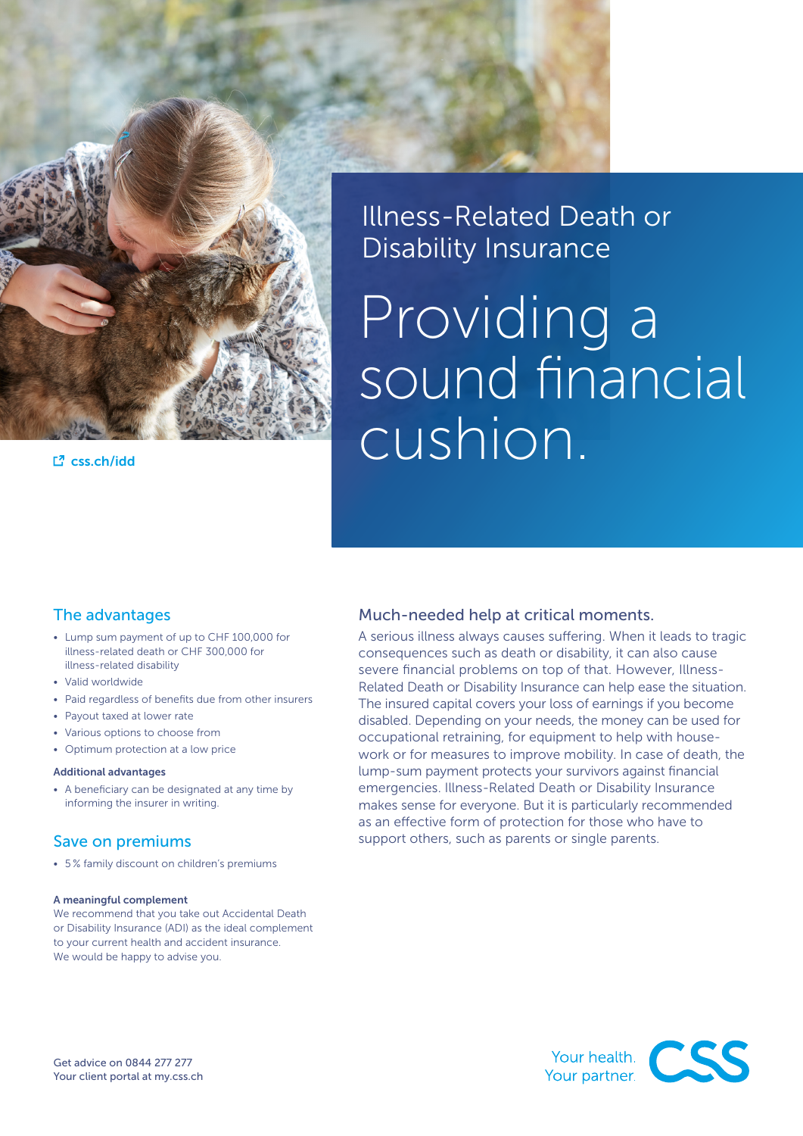

L<sup>7</sup> [css.ch/idd](http://www.css.ch/idd)

### Illness-Related Death or Disability Insurance

# Providing a sound financial cushion.

#### The advantages

- Lump sum payment of up to CHF 100,000 for illness-related death or CHF 300,000 for illness-related disability
- Valid worldwide
- Paid regardless of benefits due from other insurers
- Payout taxed at lower rate
- Various options to choose from
- Optimum protection at a low price

#### Additional advantages

• A beneficiary can be designated at any time by informing the insurer in writing.

#### Save on premiums

• 5 % family discount on children's premiums

#### A meaningful complement

We recommend that you take out Accidental Death or Disability Insurance (ADI) as the ideal complement to your current health and accident insurance. We would be happy to advise you.

#### Much-needed help at critical moments.

A serious illness always causes suffering. When it leads to tragic consequences such as death or disability, it can also cause severe financial problems on top of that. However, Illness-Related Death or Disability Insurance can help ease the situation. The insured capital covers your loss of earnings if you become disabled. Depending on your needs, the money can be used for occupational retraining, for equipment to help with housework or for measures to improve mobility. In case of death, the lump-sum payment protects your survivors against financial emergencies. Illness-Related Death or Disability Insurance makes sense for everyone. But it is particularly recommended as an effective form of protection for those who have to support others, such as parents or single parents.